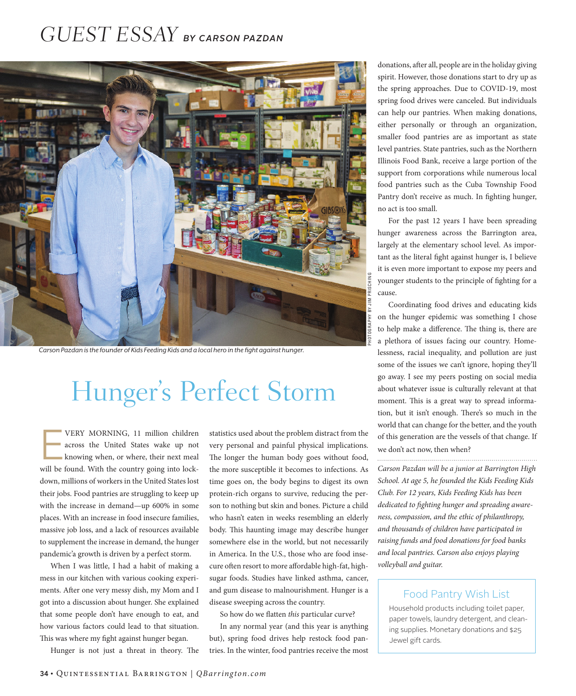## *GUEST ESSAY BY CARSON PAZDAN*



Carson Pazdan is the founder of Kids Feeding Kids and a local hero in the fight against hunger.

## Hunger's Perfect Storm

VERY MORNING, 11 million children<br>
across the United States wake up not<br>
knowing when, or where, their next meal across the United States wake up not will be found. With the country going into lockdown, millions of workers in the United States lost their jobs. Food pantries are struggling to keep up with the increase in demand—up 600% in some places. With an increase in food insecure families, massive job loss, and a lack of resources available to supplement the increase in demand, the hunger pandemic'a growth is driven by a perfect storm.

When I was little, I had a habit of making a mess in our kitchen with various cooking experiments. After one very messy dish, my Mom and I got into a discussion about hunger. She explained that some people don't have enough to eat, and how various factors could lead to that situation. This was where my fight against hunger began.

Hunger is not just a threat in theory. The

statistics used about the problem distract from the very personal and painful physical implications. The longer the human body goes without food, the more susceptible it becomes to infections. As time goes on, the body begins to digest its own protein-rich organs to survive, reducing the person to nothing but skin and bones. Picture a child who hasn't eaten in weeks resembling an elderly body. This haunting image may describe hunger somewhere else in the world, but not necessarily in America. In the U.S., those who are food insecure often resort to more affordable high-fat, highsugar foods. Studies have linked asthma, cancer, and gum disease to malnourishment. Hunger is a disease sweeping across the country.

So how do we flatten *this* particular curve?

In any normal year (and this year is anything but), spring food drives help restock food pantries. In the winter, food pantries receive the most

donations, after all, people are in the holiday giving spirit. However, those donations start to dry up as the spring approaches. Due to COVID-19, most spring food drives were canceled. But individuals can help our pantries. When making donations, either personally or through an organization, smaller food pantries are as important as state level pantries. State pantries, such as the Northern Illinois Food Bank, receive a large portion of the support from corporations while numerous local food pantries such as the Cuba Township Food Pantry don't receive as much. In fighting hunger, no act is too small.

For the past 12 years I have been spreading hunger awareness across the Barrington area, largely at the elementary school level. As important as the literal fight against hunger is, I believe it is even more important to expose my peers and younger students to the principle of fighting for a cause.

Coordinating food drives and educating kids on the hunger epidemic was something I chose to help make a difference. The thing is, there are a plethora of issues facing our country. Homelessness, racial inequality, and pollution are just some of the issues we can't ignore, hoping they'll go away. I see my peers posting on social media about whatever issue is culturally relevant at that moment. This is a great way to spread information, but it isn't enough. There's so much in the world that can change for the better, and the youth of this generation are the vessels of that change. If we don't act now, then when?

*Carson Pazdan will be a junior at Barrington High School. At age 5, he founded the Kids Feeding Kids Club. For 12 years, Kids Feeding Kids has been dedicated to fighting hunger and spreading awareness, compassion, and the ethic of philanthropy, and thousands of children have participated in raising funds and food donations for food banks and local pantries. Carson also enjoys playing volleyball and guitar.*

## Food Pantry Wish List

Household products including toilet paper, paper towels, laundry detergent, and cleaning supplies. Monetary donations and \$25 Jewel gift cards.